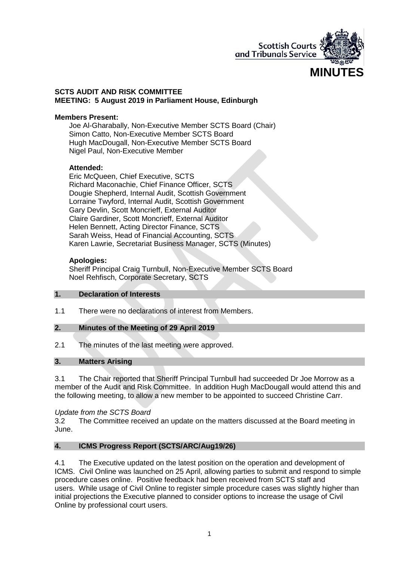

#### **SCTS AUDIT AND RISK COMMITTEE MEETING: 5 August 2019 in Parliament House, Edinburgh**

#### **Members Present:**

Joe Al-Gharabally, Non-Executive Member SCTS Board (Chair) Simon Catto, Non-Executive Member SCTS Board Hugh MacDougall, Non-Executive Member SCTS Board Nigel Paul, Non-Executive Member

#### **Attended:**

Eric McQueen, Chief Executive, SCTS Richard Maconachie, Chief Finance Officer, SCTS Dougie Shepherd, Internal Audit, Scottish Government Lorraine Twyford, Internal Audit, Scottish Government Gary Devlin, Scott Moncrieff, External Auditor Claire Gardiner, Scott Moncrieff, External Auditor Helen Bennett, Acting Director Finance, SCTS Sarah Weiss, Head of Financial Accounting, SCTS Karen Lawrie, Secretariat Business Manager, SCTS (Minutes)

#### **Apologies:**

Sheriff Principal Craig Turnbull, Non-Executive Member SCTS Board Noel Rehfisch, Corporate Secretary, SCTS

#### **1. Declaration of Interests**

1.1 There were no declarations of interest from Members.

### **2. Minutes of the Meeting of 29 April 2019**

2.1 The minutes of the last meeting were approved.

### **3. Matters Arising**

3.1 The Chair reported that Sheriff Principal Turnbull had succeeded Dr Joe Morrow as a member of the Audit and Risk Committee. In addition Hugh MacDougall would attend this and the following meeting, to allow a new member to be appointed to succeed Christine Carr.

#### *Update from the SCTS Board*

3.2 The Committee received an update on the matters discussed at the Board meeting in June.

# **4. ICMS Progress Report (SCTS/ARC/Aug19/26)**

4.1 The Executive updated on the latest position on the operation and development of ICMS. Civil Online was launched on 25 April, allowing parties to submit and respond to simple procedure cases online. Positive feedback had been received from SCTS staff and users. While usage of Civil Online to register simple procedure cases was slightly higher than initial projections the Executive planned to consider options to increase the usage of Civil Online by professional court users.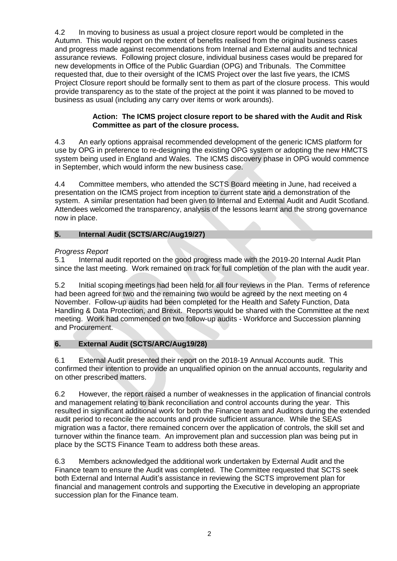4.2 In moving to business as usual a project closure report would be completed in the Autumn. This would report on the extent of benefits realised from the original business cases and progress made against recommendations from Internal and External audits and technical assurance reviews. Following project closure, individual business cases would be prepared for new developments in Office of the Public Guardian (OPG) and Tribunals. The Committee requested that, due to their oversight of the ICMS Project over the last five years, the ICMS Project Closure report should be formally sent to them as part of the closure process. This would provide transparency as to the state of the project at the point it was planned to be moved to business as usual (including any carry over items or work arounds).

### **Action: The ICMS project closure report to be shared with the Audit and Risk Committee as part of the closure process.**

4.3 An early options appraisal recommended development of the generic ICMS platform for use by OPG in preference to re-designing the existing OPG system or adopting the new HMCTS system being used in England and Wales. The ICMS discovery phase in OPG would commence in September, which would inform the new business case.

4.4 Committee members, who attended the SCTS Board meeting in June, had received a presentation on the ICMS project from inception to current state and a demonstration of the system. A similar presentation had been given to Internal and External Audit and Audit Scotland. Attendees welcomed the transparency, analysis of the lessons learnt and the strong governance now in place.

# **5. Internal Audit (SCTS/ARC/Aug19/27)**

# *Progress Report*

5.1 Internal audit reported on the good progress made with the 2019-20 Internal Audit Plan since the last meeting. Work remained on track for full completion of the plan with the audit year.

5.2 Initial scoping meetings had been held for all four reviews in the Plan. Terms of reference had been agreed for two and the remaining two would be agreed by the next meeting on 4 November. Follow-up audits had been completed for the Health and Safety Function, Data Handling & Data Protection, and Brexit. Reports would be shared with the Committee at the next meeting. Work had commenced on two follow-up audits - Workforce and Succession planning and Procurement.

# **6. External Audit (SCTS/ARC/Aug19/28)**

6.1 External Audit presented their report on the 2018-19 Annual Accounts audit. This confirmed their intention to provide an unqualified opinion on the annual accounts, regularity and on other prescribed matters.

6.2 However, the report raised a number of weaknesses in the application of financial controls and management relating to bank reconciliation and control accounts during the year. This resulted in significant additional work for both the Finance team and Auditors during the extended audit period to reconcile the accounts and provide sufficient assurance. While the SEAS migration was a factor, there remained concern over the application of controls, the skill set and turnover within the finance team. An improvement plan and succession plan was being put in place by the SCTS Finance Team to address both these areas.

6.3 Members acknowledged the additional work undertaken by External Audit and the Finance team to ensure the Audit was completed. The Committee requested that SCTS seek both External and Internal Audit's assistance in reviewing the SCTS improvement plan for financial and management controls and supporting the Executive in developing an appropriate succession plan for the Finance team.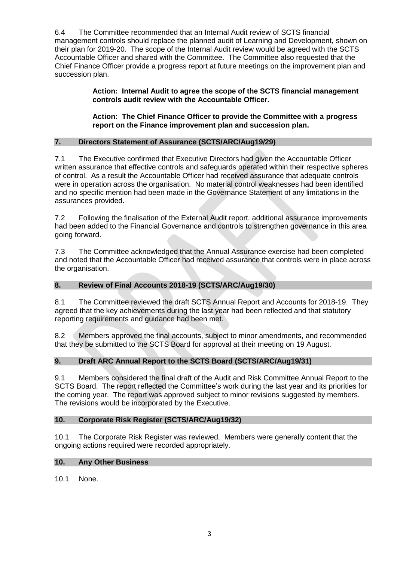6.4 The Committee recommended that an Internal Audit review of SCTS financial management controls should replace the planned audit of Learning and Development, shown on their plan for 2019-20. The scope of the Internal Audit review would be agreed with the SCTS Accountable Officer and shared with the Committee. The Committee also requested that the Chief Finance Officer provide a progress report at future meetings on the improvement plan and succession plan.

> **Action: Internal Audit to agree the scope of the SCTS financial management controls audit review with the Accountable Officer.**

> **Action: The Chief Finance Officer to provide the Committee with a progress report on the Finance improvement plan and succession plan.**

# **7. Directors Statement of Assurance (SCTS/ARC/Aug19/29)**

7.1 The Executive confirmed that Executive Directors had given the Accountable Officer written assurance that effective controls and safeguards operated within their respective spheres of control. As a result the Accountable Officer had received assurance that adequate controls were in operation across the organisation. No material control weaknesses had been identified and no specific mention had been made in the Governance Statement of any limitations in the assurances provided.

7.2 Following the finalisation of the External Audit report, additional assurance improvements had been added to the Financial Governance and controls to strengthen governance in this area going forward.

7.3 The Committee acknowledged that the Annual Assurance exercise had been completed and noted that the Accountable Officer had received assurance that controls were in place across the organisation.

# **8. Review of Final Accounts 2018-19 (SCTS/ARC/Aug19/30)**

8.1 The Committee reviewed the draft SCTS Annual Report and Accounts for 2018-19. They agreed that the key achievements during the last year had been reflected and that statutory reporting requirements and guidance had been met.

8.2 Members approved the final accounts, subject to minor amendments, and recommended that they be submitted to the SCTS Board for approval at their meeting on 19 August.

# **9. Draft ARC Annual Report to the SCTS Board (SCTS/ARC/Aug19/31)**

9.1 Members considered the final draft of the Audit and Risk Committee Annual Report to the SCTS Board. The report reflected the Committee's work during the last year and its priorities for the coming year. The report was approved subject to minor revisions suggested by members. The revisions would be incorporated by the Executive.

### **10. Corporate Risk Register (SCTS/ARC/Aug19/32)**

10.1 The Corporate Risk Register was reviewed. Members were generally content that the ongoing actions required were recorded appropriately.

### **10. Any Other Business**

10.1 None.